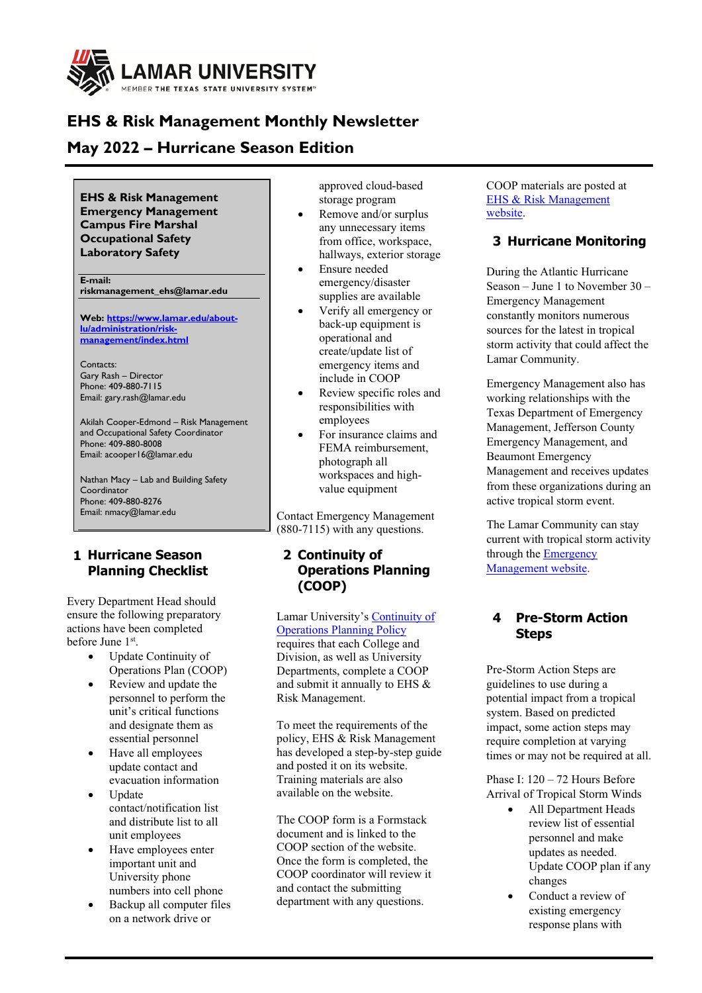

# **EHS & Risk Management Monthly Newsletter**

## **May 2022 – Hurricane Season Edition**

**EHS & Risk Management Emergency Management Campus Fire Marshal Occupational Safety Laboratory Safety**

**E-mail: riskmanagement\_ehs@lamar.edu** 

**Web[: https://www.lamar.edu/about](https://www.lamar.edu/about-lu/administration/risk-management/index.html)[lu/administration/risk](https://www.lamar.edu/about-lu/administration/risk-management/index.html)[management/index.html](https://www.lamar.edu/about-lu/administration/risk-management/index.html)**

Contacts: Gary Rash – Director Phone: 409-880-7115 Email: gary.rash@lamar.edu

Akilah Cooper-Edmond – Risk Management and Occupational Safety Coordinator Phone: 409-880-8008 Email: acooper16@lamar.edu

Nathan Macy – Lab and Building Safety **Coordinator** Phone: 409-880-8276 Email: nmacy@lamar.edu

## **1 Hurricane Season Planning Checklist**

Every Department Head should ensure the following preparatory actions have been completed before June 1st.

- Update Continuity of Operations Plan (COOP)
- Review and update the personnel to perform the unit's critical functions and designate them as essential personnel
- Have all employees update contact and evacuation information
- Update contact/notification list and distribute list to all unit employees
- Have employees enter important unit and University phone numbers into cell phone
- Backup all computer files on a network drive or

approved cloud-based storage program

- Remove and/or surplus any unnecessary items from office, workspace, hallways, exterior storage
- Ensure needed emergency/disaster supplies are available
- Verify all emergency or back-up equipment is operational and create/update list of emergency items and include in COOP
- Review specific roles and responsibilities with employees
- For insurance claims and FEMA reimbursement, photograph all workspaces and highvalue equipment

Contact Emergency Management (880-7115) with any questions.

## **2 Continuity of Operations Planning (COOP)**

Lamar University's [Continuity of](chrome-extension://efaidnbmnnnibpcajpcglclefindmkaj/viewer.html?pdfurl=https%3A%2F%2Fwww.lamar.edu%2F_files%2Fdocuments%2Ffinance-operations%2Fmapp%2Flu-mapp-coop-feb-2021.pdf&clen=181114&chunk=true)  [Operations Planning Policy](chrome-extension://efaidnbmnnnibpcajpcglclefindmkaj/viewer.html?pdfurl=https%3A%2F%2Fwww.lamar.edu%2F_files%2Fdocuments%2Ffinance-operations%2Fmapp%2Flu-mapp-coop-feb-2021.pdf&clen=181114&chunk=true) requires that each College and Division, as well as University Departments, complete a COOP and submit it annually to EHS & Risk Management.

To meet the requirements of the policy, EHS & Risk Management has developed a step-by-step guide and posted it on its website. Training materials are also available on the website.

The COOP form is a Formstack document and is linked to the COOP section of the website. Once the form is completed, the COOP coordinator will review it and contact the submitting department with any questions.

COOP materials are posted at [EHS & Risk Management](https://www.lamar.edu/about-lu/administration/risk-management/index.html)  [website.](https://www.lamar.edu/about-lu/administration/risk-management/index.html)

## **3 Hurricane Monitoring**

During the Atlantic Hurricane Season – June 1 to November 30 – Emergency Management constantly monitors numerous sources for the latest in tropical storm activity that could affect the Lamar Community.

Emergency Management also has working relationships with the Texas Department of Emergency Management, Jefferson County Emergency Management, and Beaumont Emergency Management and receives updates from these organizations during an active tropical storm event.

The Lamar Community can stay current with tropical storm activity through the **Emergency** [Management website.](https://www.lamar.edu/finance-and-operations/campus-operations/emergency-management/index.html)

## **4 Pre-Storm Action Steps**

Pre-Storm Action Steps are guidelines to use during a potential impact from a tropical system. Based on predicted impact, some action steps may require completion at varying times or may not be required at all.

Phase I:  $120 - 72$  Hours Before Arrival of Tropical Storm Winds

- All Department Heads review list of essential personnel and make updates as needed. Update COOP plan if any changes
- Conduct a review of existing emergency response plans with